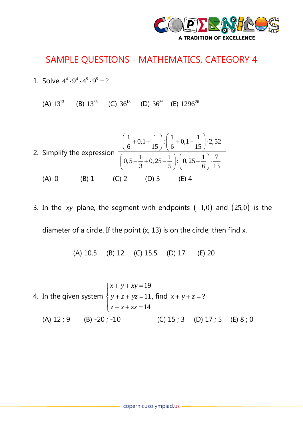

## SAMPLE QUESTIONS - MATHEMATICS, CATEGORY 4

- 1. Solve  $4^4 \cdot 9^4 \cdot 4^9 \cdot 9^9 = ?$ 
	- (A)  $13^{13}$  (B)  $13^{36}$  (C)  $36^{13}$  (D)  $36^{36}$  (E)  $1296^{26}$

2. Simplify the expression 
$$
\frac{\left(\frac{1}{6} + 0.1 + \frac{1}{15}\right) \cdot \left(\frac{1}{6} + 0.1 - \frac{1}{15}\right) \cdot 2.52}{\left(0.5 - \frac{1}{3} + 0.25 - \frac{1}{5}\right) \cdot \left(0.25 - \frac{1}{6}\right) \cdot \frac{7}{13}}
$$
  
(A) 0 \t(B) 1 \t(C) 2 \t(D) 3 \t(E) 4

3. In the  $xy$ -plane, the segment with endpoints  $(-1,0)$  and  $(25,0)$  is the diameter of a circle. If the point (x, 13) is on the circle, then find x.

(A) 10.5 (B) 12 (C) 15.5 (D) 17 (E) 20

4. In the given system 
$$
\begin{cases} x + y + xy = 19 \\ y + z + yz = 11, \text{ find } x + y + z = ? \\ z + x + zx = 14 \end{cases}
$$
  
(A) 12; 9 (B) -20; -10 (C) 15; 3 (D) 17; 5 (E) 8; 0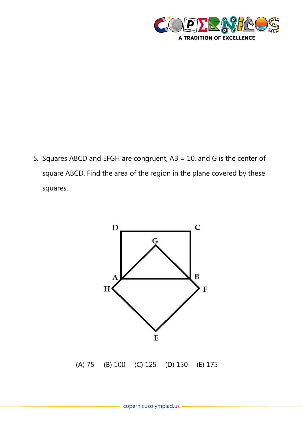

5. Squares ABCD and EFGH are congruent, AB = 10, and G is the center of square ABCD. Find the area of the region in the plane covered by these squares.

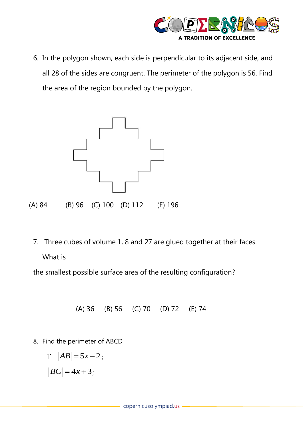

6. In the polygon shown, each side is perpendicular to its adjacent side, and all 28 of the sides are congruent. The perimeter of the polygon is 56. Find the area of the region bounded by the polygon.



7. Three cubes of volume 1, 8 and 27 are glued together at their faces. What is

the smallest possible surface area of the resulting configuration?

(A) 36 (B) 56 (C) 70 (D) 72 (E) 74

8. Find the perimeter of ABCD

$$
\begin{aligned} \text{If} \quad |AB| = 5x - 2 \, ; \\ |BC| = 4x + 3 \, ; \end{aligned}
$$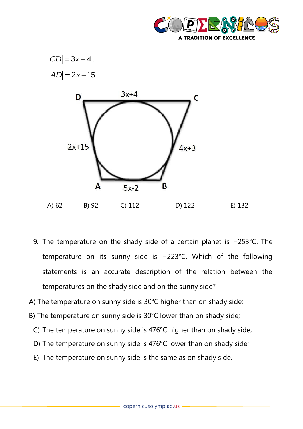





- 9. The temperature on the shady side of a certain planet is −253°C. The temperature on its sunny side is −223°C. Which of the following statements is an accurate description of the relation between the temperatures on the shady side and on the sunny side?
- A) The temperature on sunny side is 30°C higher than on shady side;
- B) The temperature on sunny side is 30°C lower than on shady side;
	- C) The temperature on sunny side is 476°C higher than on shady side;
	- D) The temperature on sunny side is 476°C lower than on shady side;
	- E) The temperature on sunny side is the same as on shady side.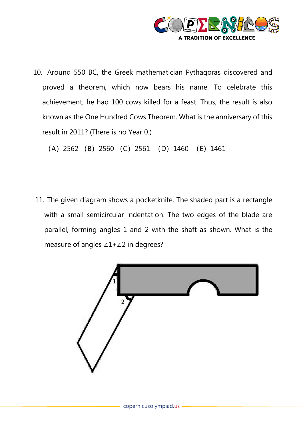

10. Around 550 BC, the Greek mathematician Pythagoras discovered and proved a theorem, which now bears his name. To celebrate this achievement, he had 100 cows killed for a feast. Thus, the result is also known as the One Hundred Cows Theorem. What is the anniversary of this result in 2011? (There is no Year 0.)

(A)2562 (B)2560 (C)2561 (D)1460 (E)1461

11. The given diagram shows a pocketknife. The shaded part is a rectangle with a small semicircular indentation. The two edges of the blade are parallel, forming angles 1 and 2 with the shaft as shown. What is the measure of angles ∠1+∠2 in degrees?

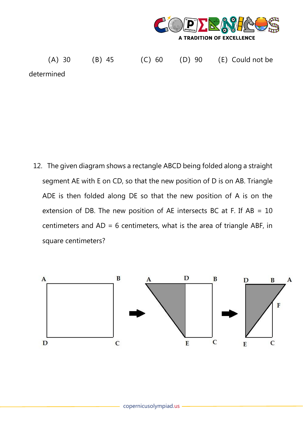

(A) 30 (B) 45 (C) 60 (D) 90 (E) Could not be determined

12. The given diagram shows a rectangle ABCD being folded along a straight segment AE with E on CD, so that the new position of D is on AB. Triangle ADE is then folded along DE so that the new position of A is on the extension of DB. The new position of AE intersects BC at F. If  $AB = 10$ centimeters and  $AD = 6$  centimeters, what is the area of triangle ABF, in square centimeters?

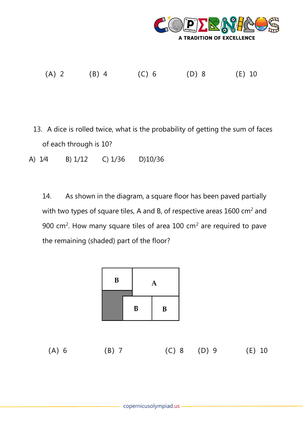

(A)2 (B)4 (C)6 (D)8 (E)10

- 13. A dice is rolled twice, what is the probability of getting the sum of faces of each through is 10?
- A) 1⁄4 B) 1/12 C) 1/36 D)10/36

14. As shown in the diagram, a square floor has been paved partially with two types of square tiles, A and B, of respective areas 1600 cm<sup>2</sup> and 900 cm<sup>2</sup>. How many square tiles of area 100 cm<sup>2</sup> are required to pave the remaining (shaded) part of the floor?

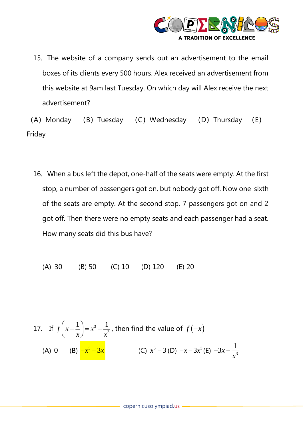

15. The website of a company sends out an advertisement to the email boxes of its clients every 500 hours. Alex received an advertisement from this website at 9am last Tuesday. On which day will Alex receive the next advertisement?

(A) Monday (B) Tuesday (C) Wednesday (D) Thursday (E) Friday

16. When a bus left the depot, one-half of the seats were empty. At the first stop, a number of passengers got on, but nobody got off. Now one-sixth of the seats are empty. At the second stop, 7 passengers got on and 2 got off. Then there were no empty seats and each passenger had a seat. How many seats did this bus have?

(A) 30 (B) 50 (C) 10 (D) 120 (E) 20

17. If 
$$
f\left(x - \frac{1}{x}\right) = x^3 - \frac{1}{x^3}
$$
, then find the value of  $f(-x)$   
\n(A) 0 (B)  $\frac{-x^3 - 3x}{x^3}$  (C)  $x^3 - 3$  (D)  $-x - 3x^3$  (E)  $-3x - \frac{1}{x^3}$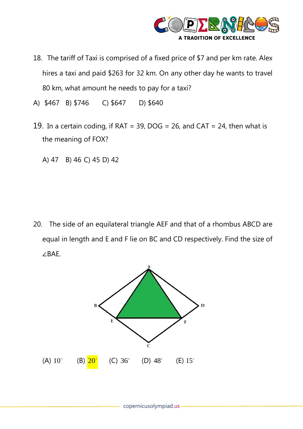

- 18. The tariff of Taxi is comprised of a fixed price of \$7 and per km rate. Alex hires a taxi and paid \$263 for 32 km. On any other day he wants to travel 80 km, what amount he needs to pay for a taxi?
- A) \$467 B) \$746 C) \$647 D) \$640
- 19. In a certain coding, if RAT = 39, DOG = 26, and CAT = 24, then what is the meaning of FOX?
	- A) 47 B) 46 C) 45 D) 42

20. The side of an equilateral triangle AEF and that of a rhombus ABCD are equal in length and E and F lie on BC and CD respectively. Find the size of ∠BAE.